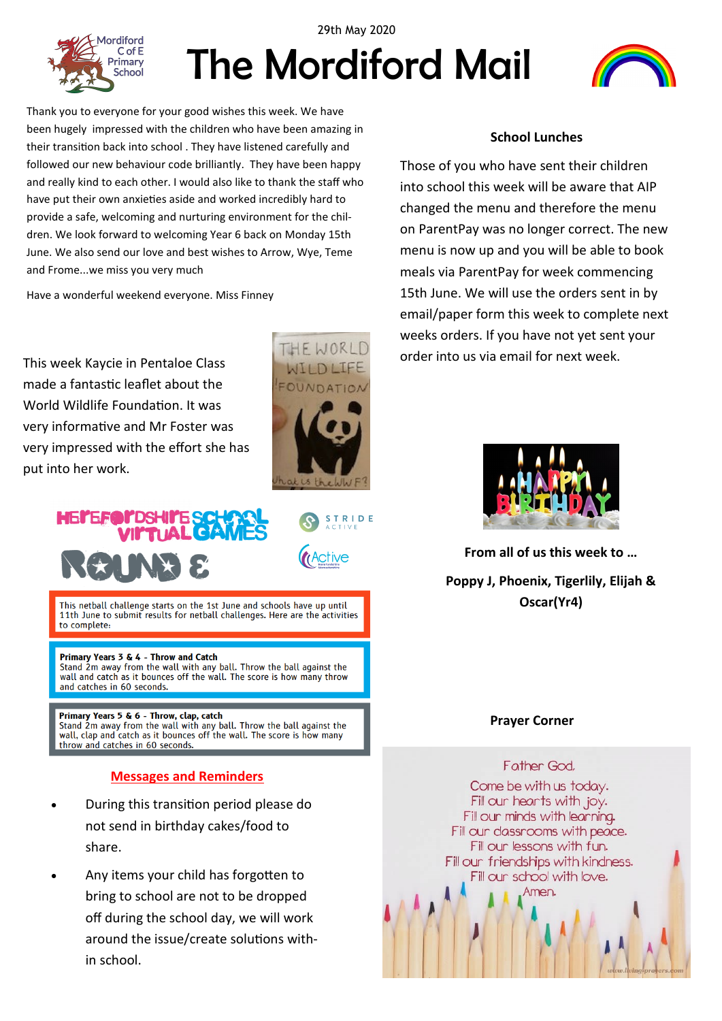

# The Mordiford Mail 29th May 2020



Thank you to everyone for your good wishes this week. We have been hugely impressed with the children who have been amazing in their transition back into school . They have listened carefully and followed our new behaviour code brilliantly. They have been happy and really kind to each other. I would also like to thank the staff who have put their own anxieties aside and worked incredibly hard to provide a safe, welcoming and nurturing environment for the children. We look forward to welcoming Year 6 back on Monday 15th June. We also send our love and best wishes to Arrow, Wye, Teme and Frome...we miss you very much

Have a wonderful weekend everyone. Miss Finney

This week Kaycie in Pentaloe Class made a fantastic leaflet about the World Wildlife Foundation. It was very informative and Mr Foster was very impressed with the effort she has put into her work.



**STRIDE** 

**ctive** 

# MEI'EA

This netball challenge starts on the 1st June and schools have up until 11th June to submit results for netball challenges. Here are the activities to complete:

#### Primary Years 3 & 4 - Throw and Catch

Stand 2m away from the wall with any ball. Throw the ball against the wall and catch as it bounces off the wall. The score is how many throw and catches in 60 seconds.

#### Primary Years 5 & 6 - Throw, clap, catch

Stand 2m away from the wall with any ball. Throw the ball against the wall, clap and catch as it bounces off the wall. The score is how many throw and catches in 60 seconds.

#### **Messages and Reminders**

- During this transition period please do not send in birthday cakes/food to share.
- Any items your child has forgotten to bring to school are not to be dropped off during the school day, we will work around the issue/create solutions within school.

#### **School Lunches**

Those of you who have sent their children into school this week will be aware that AIP changed the menu and therefore the menu on ParentPay was no longer correct. The new menu is now up and you will be able to book meals via ParentPay for week commencing 15th June. We will use the orders sent in by email/paper form this week to complete next weeks orders. If you have not yet sent your order into us via email for next week.



**From all of us this week to … Poppy J, Phoenix, Tigerlily, Elijah & Oscar(Yr4)**

### **Prayer Corner**